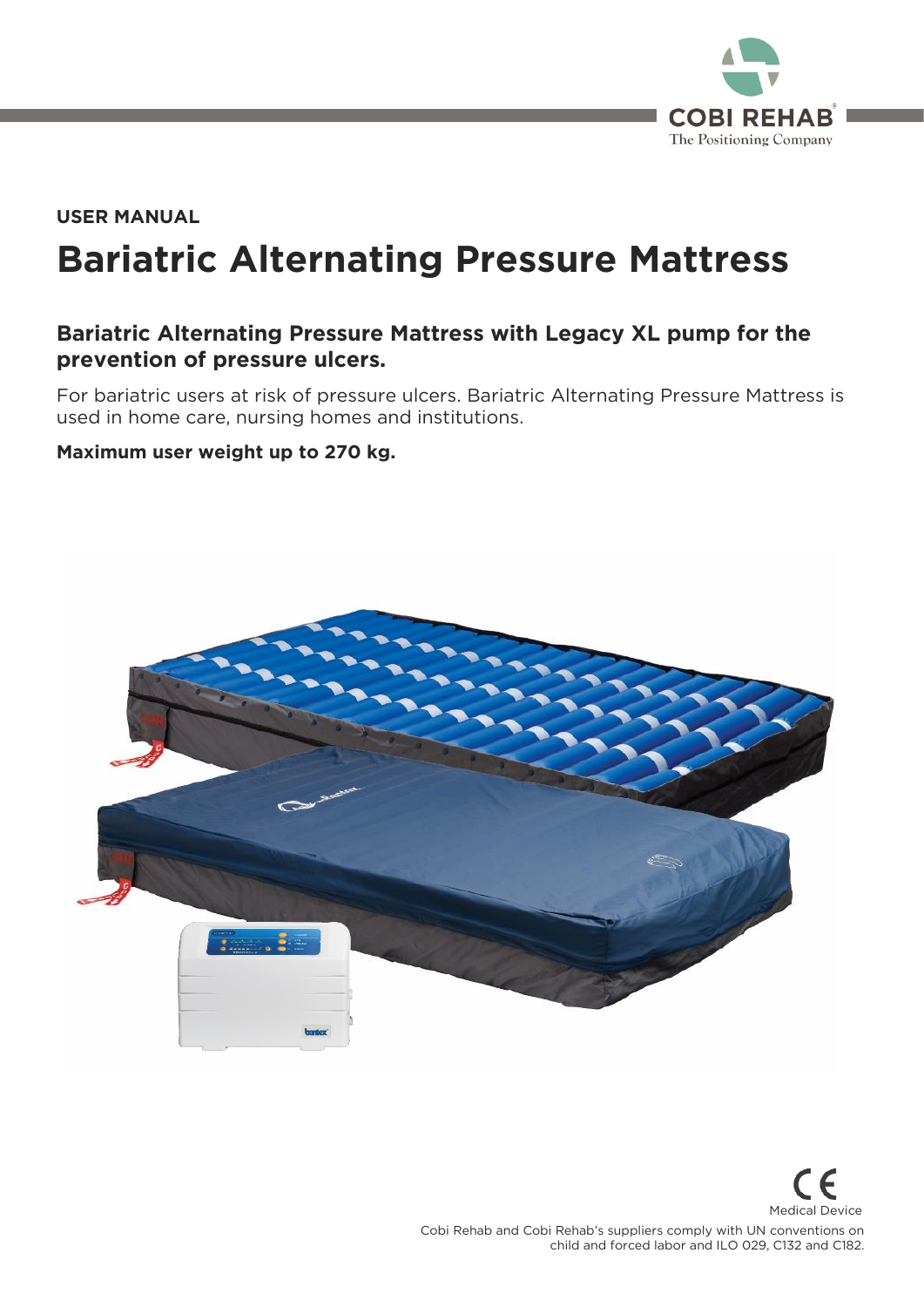

# **Bariatric Alternating Pressure Mattress USER MANUAL**

## **Bariatric Alternating Pressure Mattress with Legacy XL pump for the prevention of pressure ulcers.**

For bariatric users at risk of pressure ulcers. Bariatric Alternating Pressure Mattress is used in home care, nursing homes and institutions. used in home care, nursing homes and institutions.

#### **Maximum user weight up to 270 kg.**



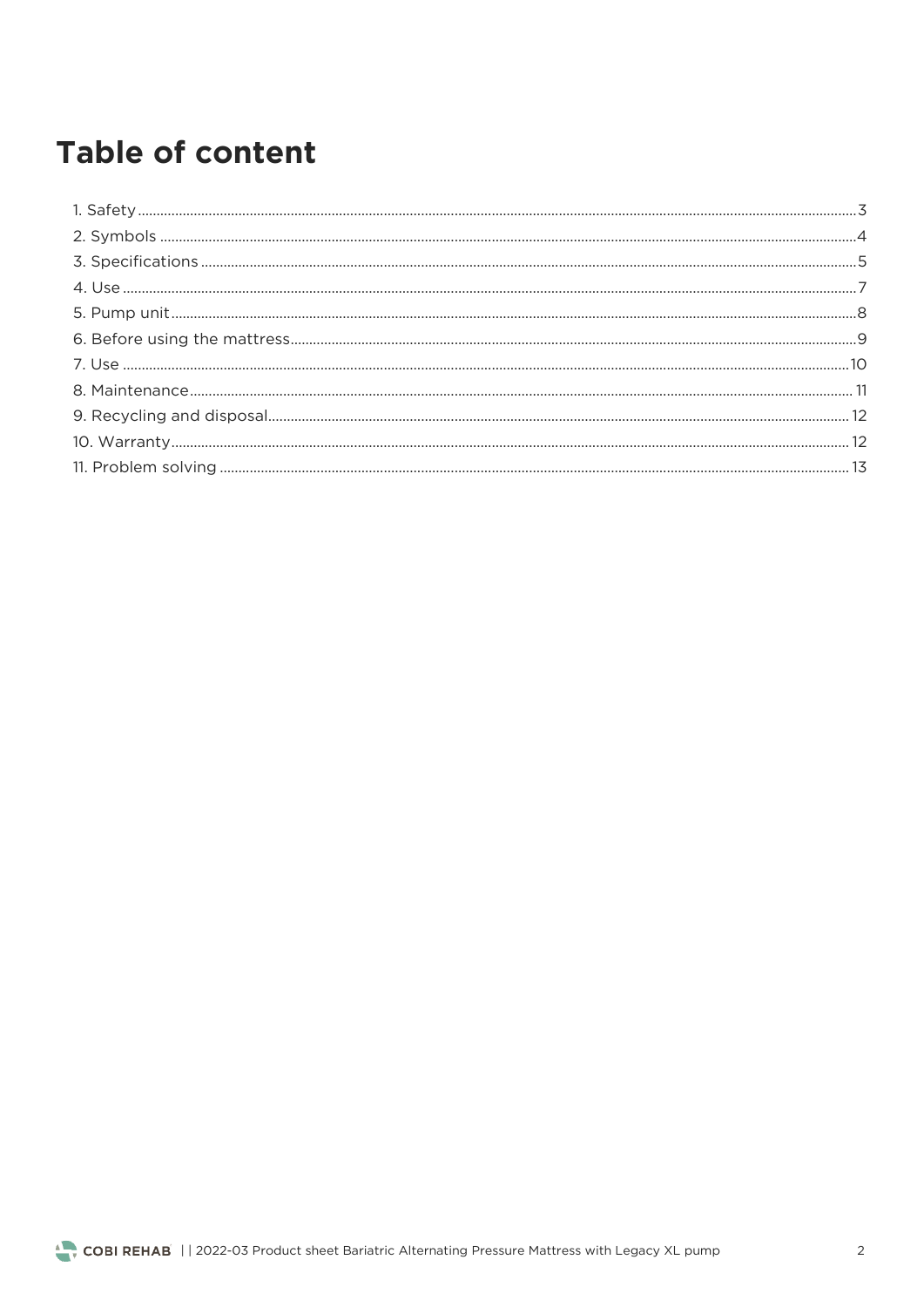# **Table of content**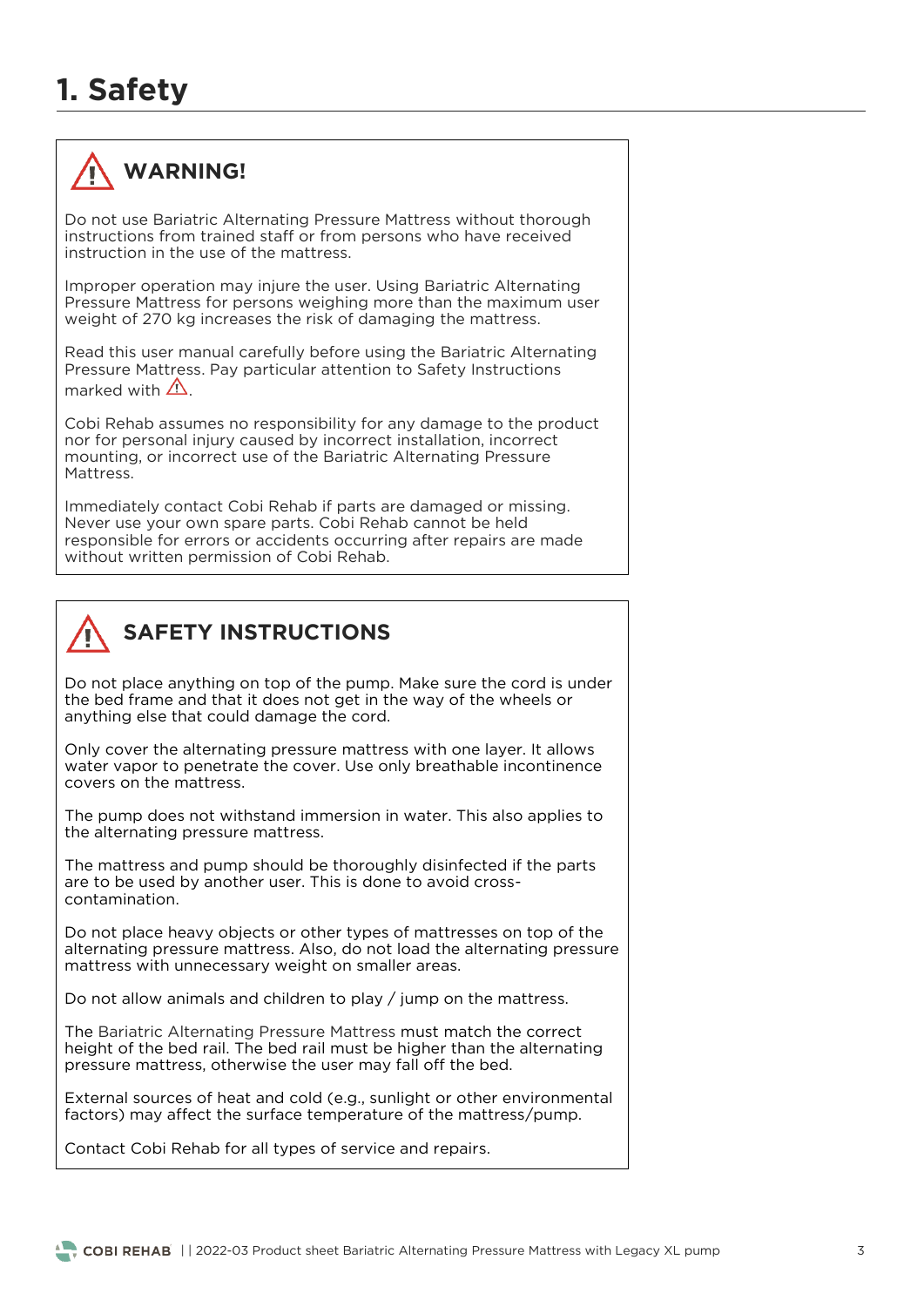

Do not use Bariatric Alternating Pressure Mattress without thorough instructions from trained staff or from persons who have received instruction in the use of the mattress.

Improper operation may injure the user. Using Bariatric Alternating<br>Pressure Mattress for persons weighing more than the maximum user weight of 270 kg increases the risk of damaging the mattress. weight of 270 kg increases the risk of damaging the mattress.

Read this user manual carefully before using the Bariatric Alternating<br>Pressure Mattress. Pay particular attention to Safety Instructions marked with  $\Lambda$ .

Cobi Rehab assumes no responsibility for any damage to the product nor for personal injury caused by incorrect installation, incorrect mounting, or incorrect use of the Bariatric Alternating Pressure Mattress.

Immediately contact Cobi Rehab if parts are damaged or missing. responsible for errors or accidents occurring after repairs are made without written permission of Cobi Rehab. with written permission of Cobi Rehab.



## **SAFETY INSTRUCTIONS**

Do not place anything on top of the pump. Make sure the cord is under the bed frame and that it does not get in the way of the wheels or the bed frame and that it does not get in the way of the wheels of anything else that could damage the cord.

Only cover the alternating pressure mattress with one layer. It allows water vapor to penetrate the cover. Use only breathable incontinence covers on the mattress. covers on the mattress.

The pump does not withstand immersion in water. This also applies to the alternating pressure mattress. the alternating pressure mattress.

The mattress and pump should be thoroughly disinfected if the parts are to be used by another user. This is done to avoid crosscontamination. contamination.

Do not place heavy objects or other types of mattresses on top of the alternating pressure mattress. Also, do not load the alternating pressure mattress with unnecessary weight on smaller areas. mattress with unnecessary weight on smaller areas.

Do not allow animals and children to play / jump on the mattress.

The Bariatric Alternating Pressure Mattress must match the correct height of the bed rail. The bed rail must be higher than the alternating pressure mattress, otherwise the user may fall off the bed. pressure mattress, otherwise the user may fall off the bed.

External sources of heat and cold (e.g., sunlight or other environmental factors) may affect the surface temperature of the mattress/pump. factors) may affect the surface temperature of the mattress/pump.

Contact Cobi Rehab for all types of service and repairs.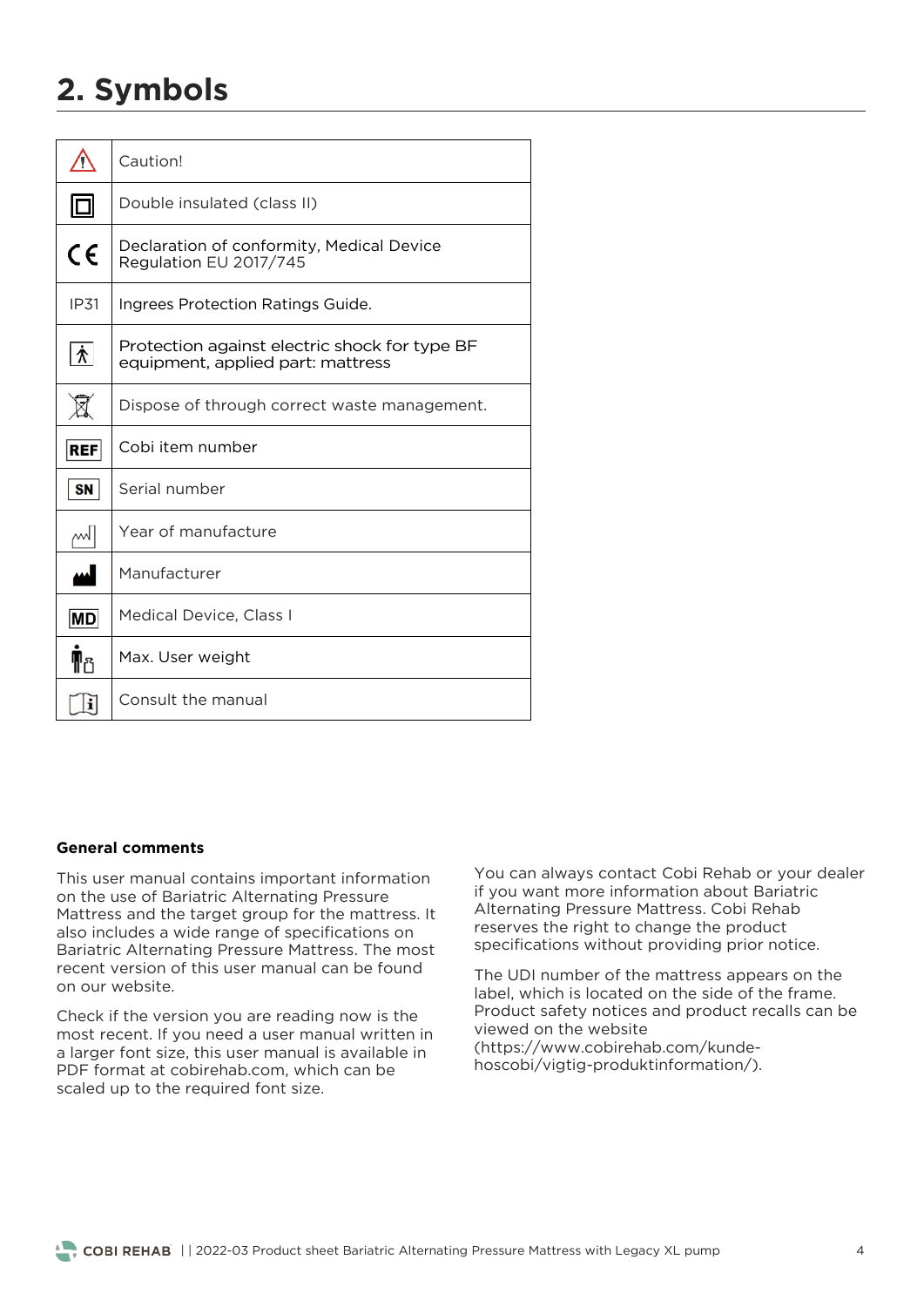# **2. Symbols**

| T          | Caution!                                                                           |
|------------|------------------------------------------------------------------------------------|
|            | Double insulated (class II)                                                        |
| $\epsilon$ | Declaration of conformity, Medical Device<br>Regulation EU 2017/745                |
| IP31       | Ingrees Protection Ratings Guide.                                                  |
| እ*         | Protection against electric shock for type BF<br>equipment, applied part: mattress |
|            | Dispose of through correct waste management.                                       |
| <b>REF</b> | Cobi item number                                                                   |
| <b>SN</b>  | Serial number                                                                      |
| ᄊ          | Year of manufacture                                                                |
|            | Manufacturer                                                                       |
| MD         | Medical Device, Class I                                                            |
| 메요         | Max. User weight                                                                   |
| i          | Consult the manual                                                                 |

#### **General comments**

This user manual contains important information<br>on the use of Bariatric Alternating Pressure Mattress and the target group for the mattress. It also includes a wide range of specifications on Bariatric Alternating Pressure Mattress. The most recent version of this user manual can be found on our website.

Check if the version you are reading now is the most recent. If you need a user manual written in a larger font size, this user manual is available in PDF format at cobirehab.com, which can be scaled up to the required font size. scaled up to the required font size.

You can always contact Cobi Rehab or your dealer<br>if you want more information about Bariatric Alternating Pressure Mattress. Cobi Rehab reserves the right to change the product specifications without providing prior notice. specifications without providing prior notice.

The UDI number of the mattress appears on the label, which is located on the side of the frame. Product safety notices and product recalls can be. viewed on the website (https://www.cobirehab.com/kundehoscobi/vigtig-produktinformation/). hoscobi/vigtig-produktinformation/).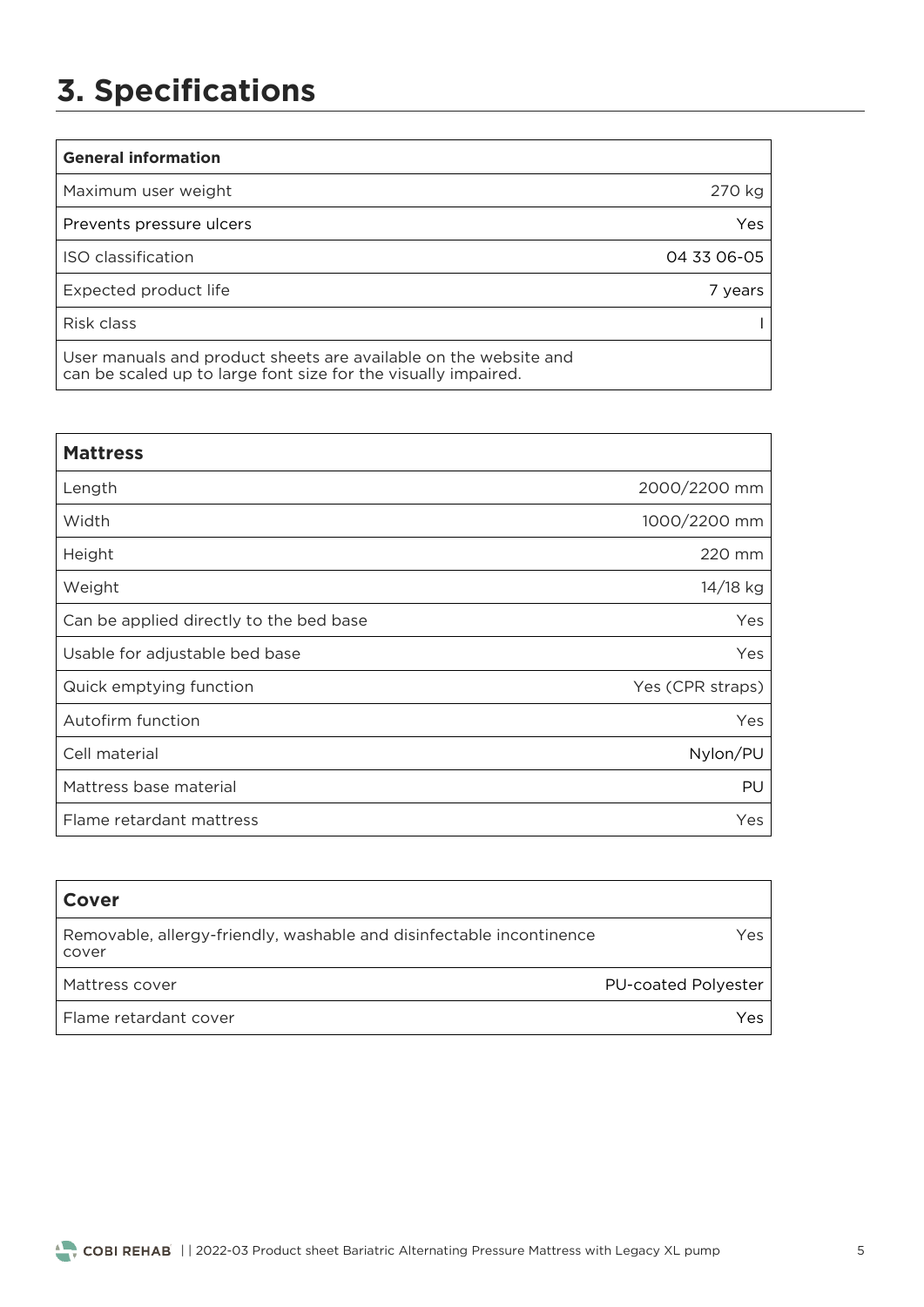# **3. Specifications**

| <b>General information</b>                                                                                                         |               |
|------------------------------------------------------------------------------------------------------------------------------------|---------------|
| Maximum user weight                                                                                                                | 270 kg        |
| Prevents pressure ulcers                                                                                                           | Yes           |
| ISO classification                                                                                                                 | 04 33 06 - 05 |
| Expected product life                                                                                                              | 7 years       |
| Risk class                                                                                                                         |               |
| User manuals and product sheets are available on the website and<br>can be scaled up to large font size for the visually impaired. |               |

| <b>Mattress</b>                         |                  |
|-----------------------------------------|------------------|
| Length                                  | 2000/2200 mm     |
| Width                                   | 1000/2200 mm     |
| Height                                  | 220 mm           |
| Weight                                  | 14/18 kg         |
| Can be applied directly to the bed base | Yes              |
| Usable for adjustable bed base          | <b>Yes</b>       |
| Quick emptying function                 | Yes (CPR straps) |
| Autofirm function                       | Yes              |
| Cell material                           | Nylon/PU         |
| Mattress base material                  | PU               |
| Flame retardant mattress                | Yes              |

| <b>Cover</b>                                                                  |                            |
|-------------------------------------------------------------------------------|----------------------------|
| Removable, allergy-friendly, washable and disinfectable incontinence<br>cover | Yes.                       |
| Mattress cover                                                                | <b>PU-coated Polyester</b> |
| Flame retardant cover                                                         | Yes                        |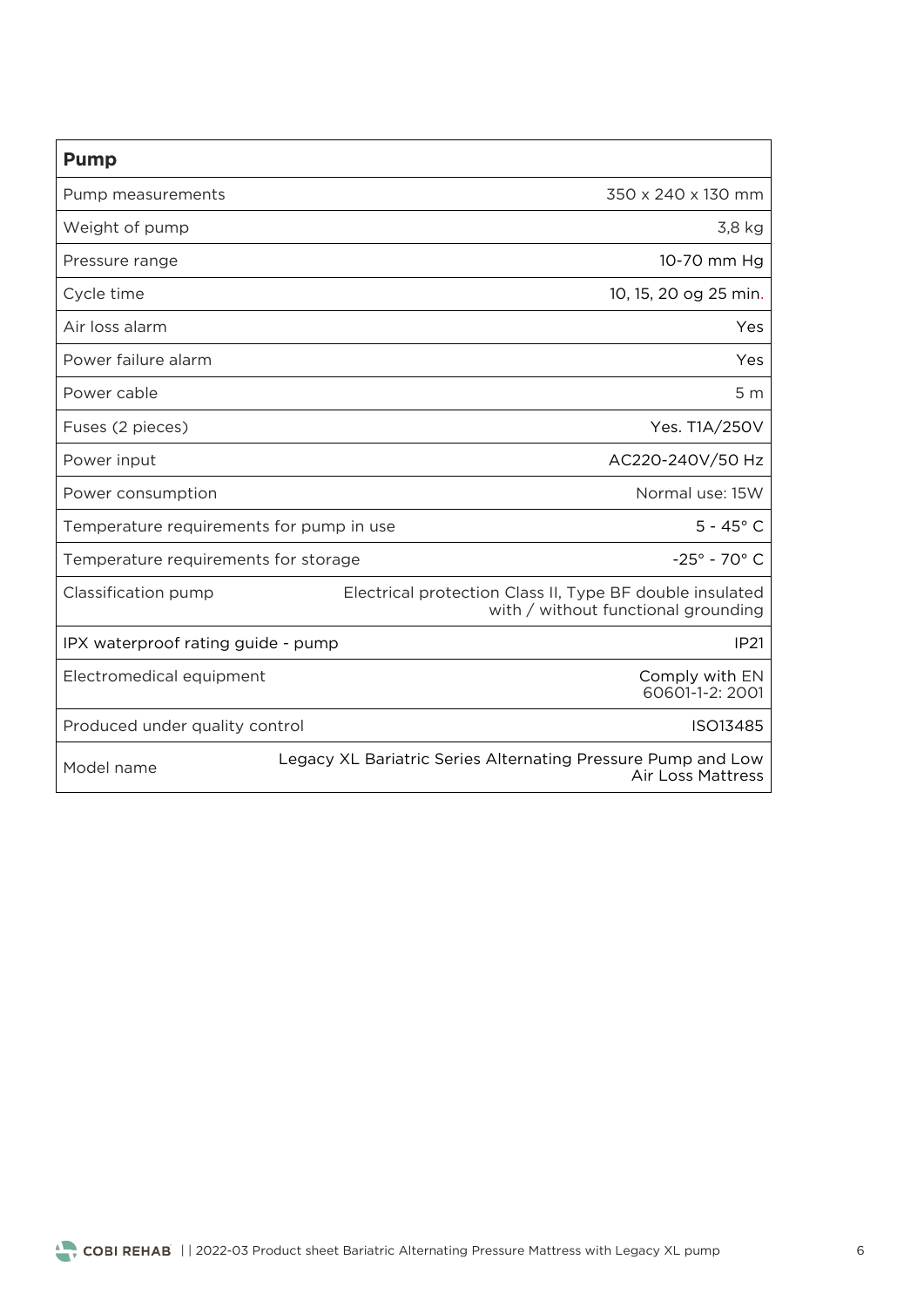| <b>Pump</b>                              |                                                                                                 |
|------------------------------------------|-------------------------------------------------------------------------------------------------|
| Pump measurements                        | 350 x 240 x 130 mm                                                                              |
| Weight of pump                           | 3,8 kg                                                                                          |
| Pressure range                           | 10-70 mm Hg                                                                                     |
| Cycle time                               | 10, 15, 20 og 25 min.                                                                           |
| Air loss alarm                           | <b>Yes</b>                                                                                      |
| Power failure alarm                      | Yes                                                                                             |
| Power cable                              | 5 <sub>m</sub>                                                                                  |
| Fuses (2 pieces)                         | Yes. T1A/250V                                                                                   |
| Power input                              | AC220-240V/50 Hz                                                                                |
| Power consumption                        | Normal use: 15W                                                                                 |
| Temperature requirements for pump in use | $5 - 45^{\circ}$ C                                                                              |
| Temperature requirements for storage     | $-25^{\circ} - 70^{\circ}$ C                                                                    |
| Classification pump                      | Electrical protection Class II, Type BF double insulated<br>with / without functional grounding |
| IPX waterproof rating guide - pump       | <b>IP21</b>                                                                                     |
| Electromedical equipment                 | Comply with EN<br>60601-1-2: 2001                                                               |
| Produced under quality control           | ISO13485                                                                                        |
| Model name                               | Legacy XL Bariatric Series Alternating Pressure Pump and Low<br><b>Air Loss Mattress</b>        |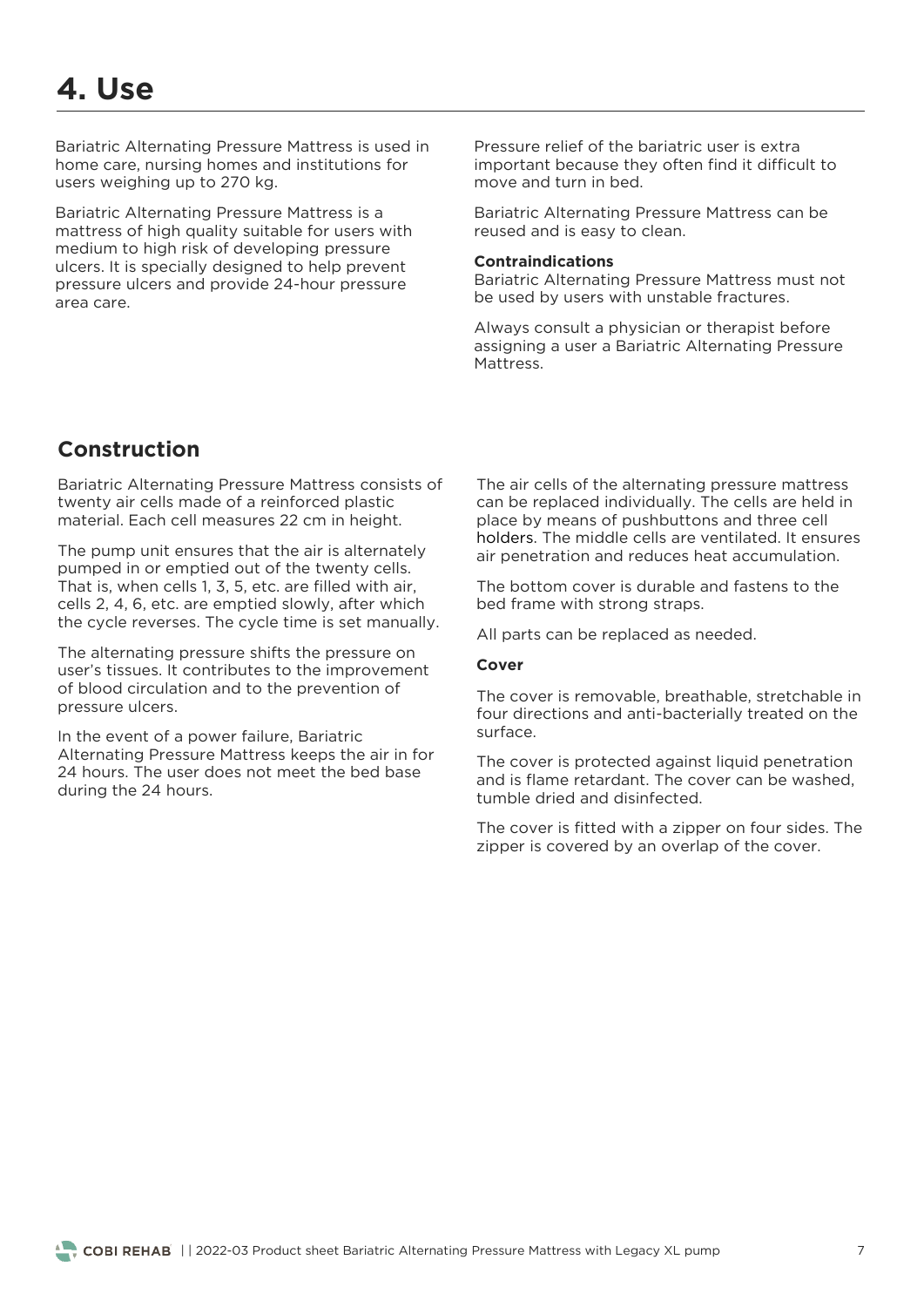Bariatric Alternating Pressure Mattress is used in home care, nursing homes and institutions for users weighing up to 270 kg. users weighing up to 270 kg.

Bariatric Alternating Pressure Mattress is a<br>mattress of high quality suitable for users with medium to high risk of developing pressure ulcers. It is specially designed to help prevent pressure ulcers and provide 24-hour pressure area care.

Pressure relief of the bariatric user is extra<br>important because they often find it difficult to move and turn in bed.

Bariatric Alternating Pressure Mattress can be reused and is easy to clean. reused and is easy to clean.

#### **Contraindications**

Bariatric Alternation Contractor Alternations has used by users with unstable fractures be used by users with unstable fractures.

Always consult a physician or therapist before<br>assigning a user a Bariatric Alternating Pressure Mattress

## **Construction**

Bariatric Alternating Pressure Mattress consists of twenty air cells made of a reinforced plastic material Fach cell measures 22 cm in height material. Each cell measures 22 cm in height.

The pump unit ensures that the air is alternately pumped in or emptied out of the twenty cells. That is, when cells 1, 3, 5, etc. are filled with air, cells 2, 4, 6, etc. are emptied slowly, after which the cycle reverses. The cycle time is set manually. the cycle reverses. The cycle time is set manually.

The alternating pressure shifts the pressure on user's tissues. It contributes to the improvement of blood circulation and to the prevention of pressure ulcers. pressure ulcers.

In the event of a power failure, Bariatric<br>Alternating Pressure Mattress keeps the air in for 24 hours. The user does not meet the bed base  $\frac{1}{24}$  hours. during the 24 hours.

The air cells of the alternating pressure mattress<br>can be replaced individually. The cells are held in place by means of pushbuttons and three cell holders. The middle cells are ventilated. It ensures air penetration and reduces heat accumulation. air penetration and reduces heat accumulation.

The bottom cover is durable and fastens to the bed frame with strong straps. bed frame with strong straps.

All parts can be replaced as needed.

#### **Cover**

The cover is removable, breathable, stretchable in four directions and anti-bacterially treated on the sur face.

The cover is protected against liquid penetration<br>and is flame retardant. The cover can be washed. tumble dried and disinfected

The cover is fitted with a zipper on four sides. The zipper is covered by an overlap of the cover. zipper is covered by an overlap of the cover.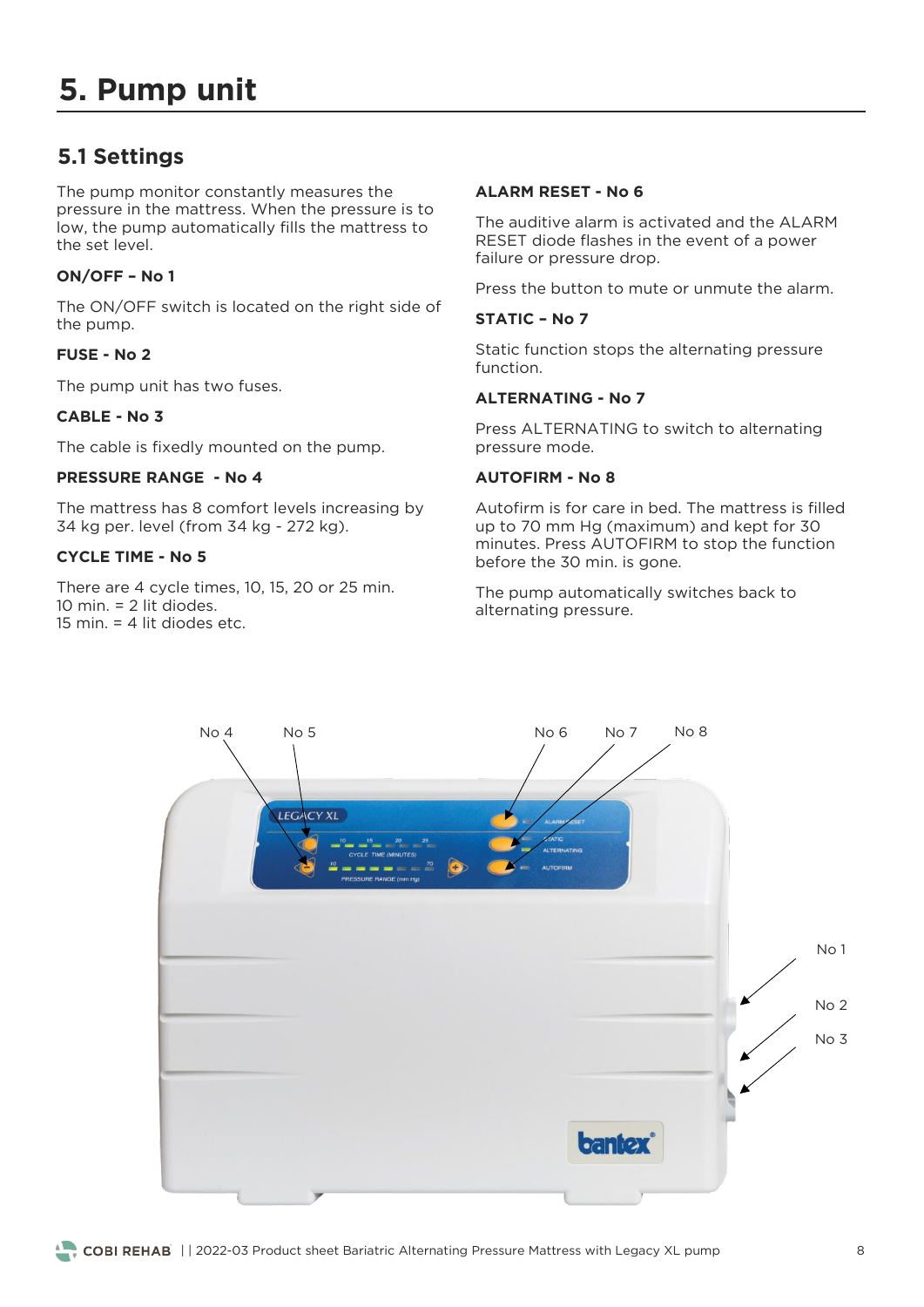## **5.1 Settings**

The pump monitor constantly measures the<br>pressure in the mattress. When the pressure is to low, the pump automatically fills the mattress to the set level.

#### **ON/OFF – No 1**

The ON/OFF switch is located on the right side of the pump. the pump.

#### **FUSE - No 2**

The pump unit has two fuses.

#### **CABLE - No 3**

The cable is fixedly mounted on the pump.

#### **PRESSURE RANGE - No 4**

The mattress has 8 comfort levels increasing by 34 kg per. level (from 34 kg - 272 kg).  $\frac{3}{4}$  bere. If  $\frac{3}{4}$  kg  $\frac{3}{4}$ 

#### **CYCLE TIME - No 5**

There are 4 cycle times, 10, 15, 20 or 25 min.<br>10 min.  $= 2$  lit diodes. 15 min.  $=$  4 lit diodes etc.

#### **ALARM RESET - No 6**

The auditive alarm is activated and the ALARM<br>RESET diode flashes in the event of a power failure or pressure drop. failure or pressure drop.

#### **STATIC – No 7**

Static function stops the alternating pressure<br>function.

#### **ALTERNATING - No 7**

Press ALTERNATING to switch to alternating<br>pressure mode. pressure mode.

#### **AUTOFIRM - No 8**

Autofirm is for care in bed. The mattress is filled minutes. Press AUTOFIRM to stop the function before the 30 min. is gone. before the 30 min. is gone.

The pump automatically switches back to alternating pressure. alternating pressure.

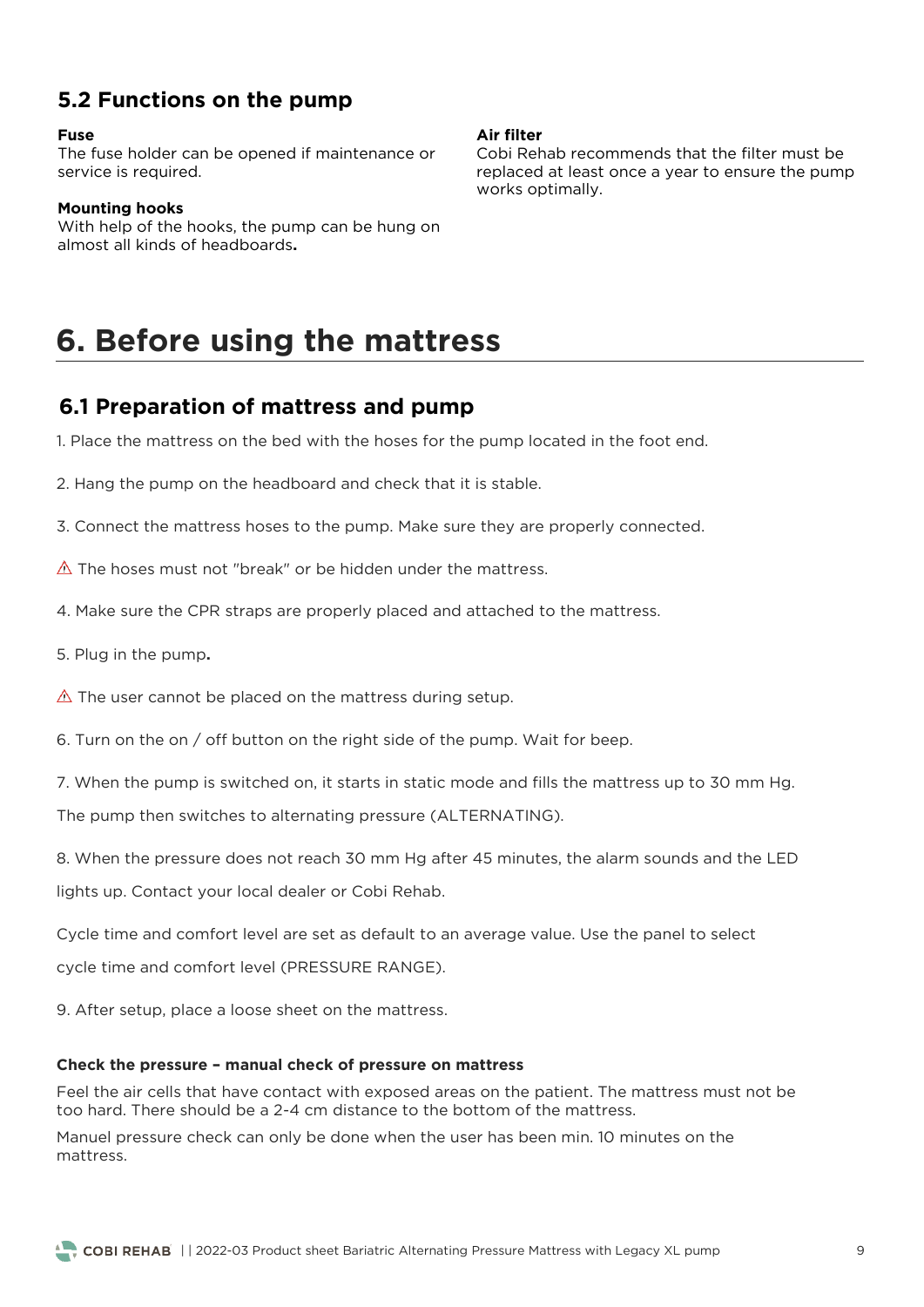## **5.2 Functions on the pump**

#### **Fuse**

The fusion of the function of the function of the can be opened in the case of the can be of the cape of the can be or the case of the case of the case of the case of the case of the case of the case of the case of the cas service is required.

#### **Mounting hooks**

With help of the hooks, the pump can be hung on almost all kinds of headboards**.**

#### **Air filter**

Cobi Rehab recommends that the filter must be replaced at least once a year to ensure the pump  $work$  ontimally works optimally.

## **6. Before using the mattress**

### **6.1 Preparation of mattress and pump**

1. Place the mattress on the bed with the hoses for the pump located in the foot end.

2. Hang the pump on the headboard and check that it is stable.

3. Connect the mattress hoses to the pump. Make sure they are properly connected.

- 4. Make sure the CPR straps are properly placed and attached to the mattress.
- 5. Plug in the pump**.**
- $\triangle$  The user cannot be placed on the mattress during setup.

6. Turn on the on / off button on the right side of the pump. Wait for beep.

 $7.7 \times 10^{-4}$  km smitched on, it starts in static mode and fills the matter static mode and fills the matter static mode and fills the matter static mode and fills the matter static mode and  $\sim$ The pump then switches to alternating pressure (ALTERNATING).

 $8.8 \times 10^{10}$  mm Hg after 45 minutes, the alarm sounds and the alarm sounds and the alarm sounds and the LED lights up. Contact your local dealer or Cobi Rehab.

Cycle time and comfort level are set as default to an average value. Use the panel to select cycle time and comfort level (PRESSURE RANGE).

9. After setup, place a loose sheet on the mattress.

#### **Check the pressure – manual check of pressure on mattress**

 $\frac{1}{2}$  too bard. There should be a 2-4 cm distance to the bottom of the mattress must not be mattress must not be mattress must not be mattress must not be mattress must not be mattress must not be mattress must not be

Manuel pressure check can only be done when the user has been min. 10 minutes on the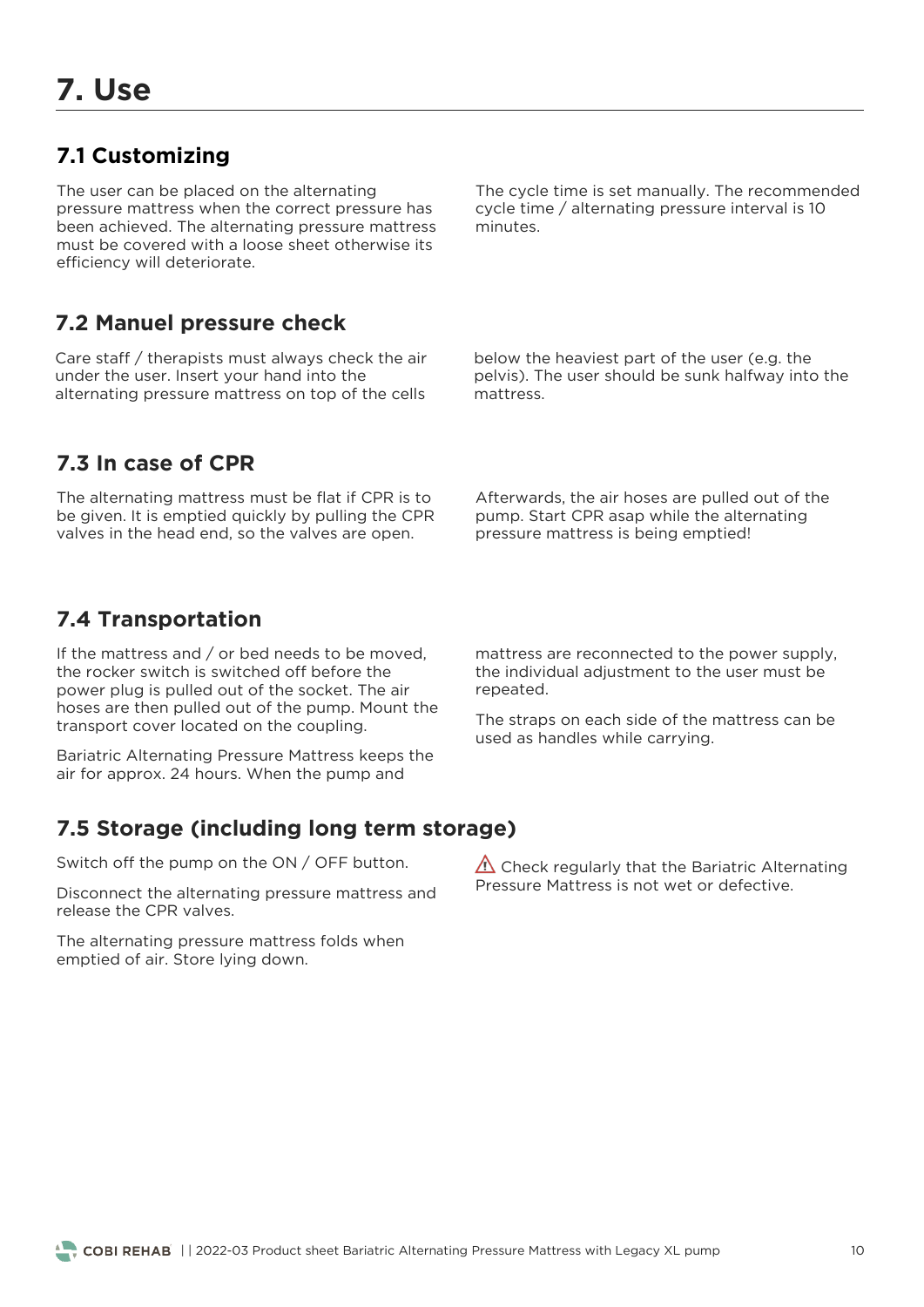## **7.1 Customizing**

The user can be placed on the alternating<br>pressure mattress when the correct pressure has been achieved. The alternating pressure mattress must be covered with a loose sheet otherwise its efficiency will deteriorate. efficiency will deteriorate.

The cycle time is set manually. The recommended cycle time / alternating pressure interval is 10 minutes.

### **7.2 Manuel pressure check**

Care staff / therapists must always check the air under the user. Insert your hand into the alternating pressure mattress on top of the alternation pressure matternation on the cells of the cells of the cells of the cells of the cells of the cells below the heaviest part of the user (e.g. the<br>pelvis). The user should be sunk halfway into the mattress.

## **7.3 In case of CPR**

The alternating mattress must be flat if CPR is to be given. It is emptied quickly by pulling the CPR be given it is emptied quickly by pulling the CPR. valves in the head end, so the valves are open.

Afterwards, the air hoses are pulled out of the pump. Start CPR asap while the alternating pump cump of the alternative the alternating pressure mattress is being emptied!

## **7.4 Transportation**

If the mattress and  $/$  or bed needs to be moved, the rocker switch is switched off before the power plug is pulled out of the socket. The air hoses are then pulled out of the pump. Mount the transport cover located on the coupling. transport cover located on the coupling.

Bariatric Alternating Pressure Mattress keeps the air for approx. 24 hours. When the pump and air for approx. 24 hours. When the pump and

mattress are reconnected to the power supply,<br>the individual adjustment to the user must be repeated. repeated.

The straps on each side of the mattress can be used as handles while carrying. used as handles while carrying.

## **7.5 Storage (including long term storage)**

Switch off the pump on the ON / OFF button. Switch off the pump on the ON / OFF button.

Disconnect the alternating pressure mattress and release the CPR valves. release the CPR valves.

emptied of air. Store Iving down emptied of air. Store lying down.

 $\triangle$  Check regularly that the Bariatric Alternating Pressure Mattress is not wet or defective.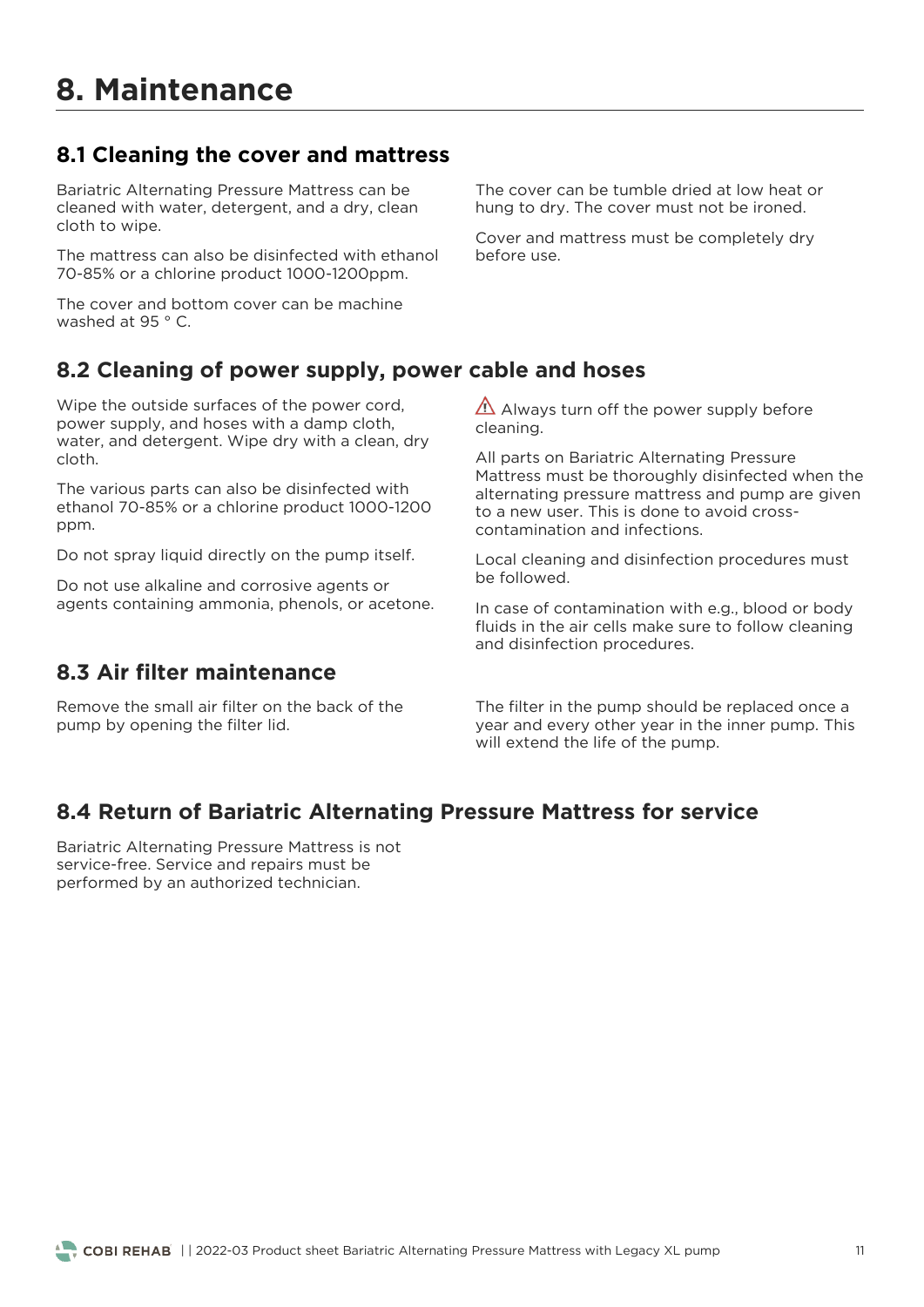## **8.1 Cleaning the cover and mattress**

Bariatric Alternating Pressure Mattress can be cleaned with water, detergent, and a dry, clean cloth to wipe. cloth to wipe.

The mattress can also be disinfected with ethanol<br>70-85% or a chlorine product 1000-1200ppm. 70-85% or a chlorine product 1000-1200ppm.

The cover and bottom cover can be machine<br>washed at 95 ° C. washed at 95 ° C.

The cover can be tumble dried at low heat or hung to dry. The cover must not be ironed. hung to dry. The cover must not be ironed.

Cover and mattress must be completely dry before use.

## **8.2 Cleaning of power supply, power cable and hoses**

Wipe the outside surfaces of the power cord, power supply, and hoses with a damp cloth, water, and detergent. Wipe dry with a clean, dry water, and determines the contract of the contract of the contract of the contract of the contract of the contract of the contract of the contract of the contract of the contract of the contract of the contract of the cont

The various parts can also be disinfected with  $\epsilon$ thanol 70-85% or a chlorine product 1000-120 ethanol 70-85% or a chanol 70-85% or a chanol 70-85% or a chanol 70-85% or a chanol 70-85% or a chanol 70-85% or a chanol 70-85% or a chanol 70-85% or a chanol 70-85% or a chanol 70-85% or a chanol 70-85% or a chanol 70-85 ppm.

Do not spray liquid directly on the pump itself.

agents containing ammonia phenols or ace agents containing ammonia, phenols, or acetone.

## **8.3 Air filter maintenance**

Remove the small air filter on the back of the pump by opening the filter lid. pump by opening the filter lid.

 $\overline{\text{A}}$  Always turn off the power supply before cleaning. cleaning.

All parts on Bariatric Alternating Pressure<br>Mattress must be thoroughly disinfected when the alternating pressure mattress and pump are given to a new user. This is done to avoid crosscontamination and infections.

Local cleaning and disinfection procedures must<br>be followed.

In case of contamination with e.g., blood or body fluids in the air cells make sure to follow cleaning and disinfection procedures. and disinfection procedures.

The filter in the pump should be replaced once a year and every other year in the inner pump. This will extend the life of the pump. will extend the life of the pump of the pump.

## **8.4 Return of Bariatric Alternating Pressure Mattress for service**

Bariatric Alternating Pressure Mattress is not service-free. Service and repairs must be performed by an authorized technician. performed by an authorized technician.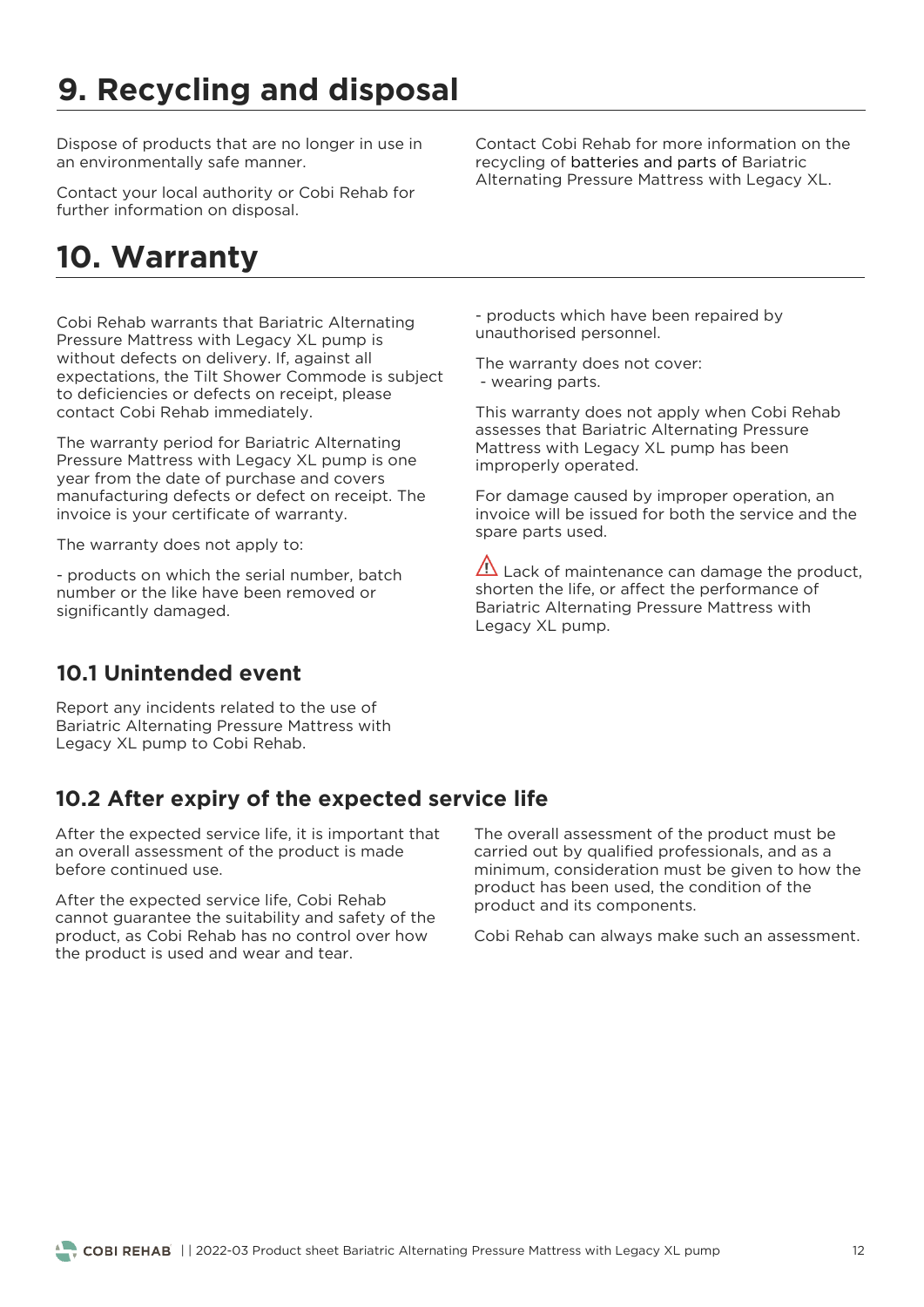# **9. Recycling and disposal**

Dispose of products that are no longer in use in<br>an environmentally safe manner. an environmentally safe manner.

 $f(x)$  further information on disposal further information on disposal.

## **10. Warranty**

Cobi Rehab warrants that Bariatric Alternating without defects on delivery. If, against all expectations, the Tilt Shower Commode is subject to deficiencies or defects on receipt, please contact Cobi Rehab immediately. contact Cobi Rehab immediately.

The warranty period for Bariatric Alternating<br>Pressure Mattress with Legacy XL pump is one year from the date of purchase and covers manufacturing defects or defect on receipt. The invoice is your certificate of warranty. invoice is your certificate of warranty.

The warranty does not apply to:

- products on which the serial number, batch<br>number or the like have been removed or significantly damaged. significantly damaged.

Contact Cobi Rehab for more information on the recycling of batteries and parts of Bariatric Alternating Pressure Mattress with Legacy XL. Alternating Pressure Mattress with Legacy XL.

- products which have been repaired by<br>unauthorised personnel. unauthorised personnel.

The manually does not cover:<br>- Wearing parts - wearing parts.

This warranty does not apply when Cobi Rehab<br>assesses that Bariatric Alternating Pressure Mattress with Legacy XL pump has been improperly operated. improperly operated.

For damage caused by improper operation, an<br>invoice will be issued for both the service and the spare parts used. spare parts used.

 $\overline{\Delta}$  Lack of maintenance can damage the product, shorten the life, or affect the performance of Bariatric Alternating Pressure Mattress with Legacy XL pump. Legacy XL pump.

## **10.1 Unintended event**

Report any incidents related to the use of Bariatric Alternating Pressure Mattress with Legacy XL pump to Cobi Rehab.  $\mathcal{L}$  pump to Cobi Rehabit.

## **10.2 After expiry of the expected service life**

After the expected service life, it is important that an overall assessment of the product is made before continued use.

After the expected service life, Cobi Rehab<br>cannot quarantee the suitability and safety of the product, as Cobi Rehab has no control over how the product is used and wear and tear. the product is used and wear and tear.

The overall assessment of the product must be carried out by qualified professionals, and as a minimum, consideration must be given to how the product has been used, the condition of the product and its components. product and its components.

Cobi Rehab can always make such an assessment.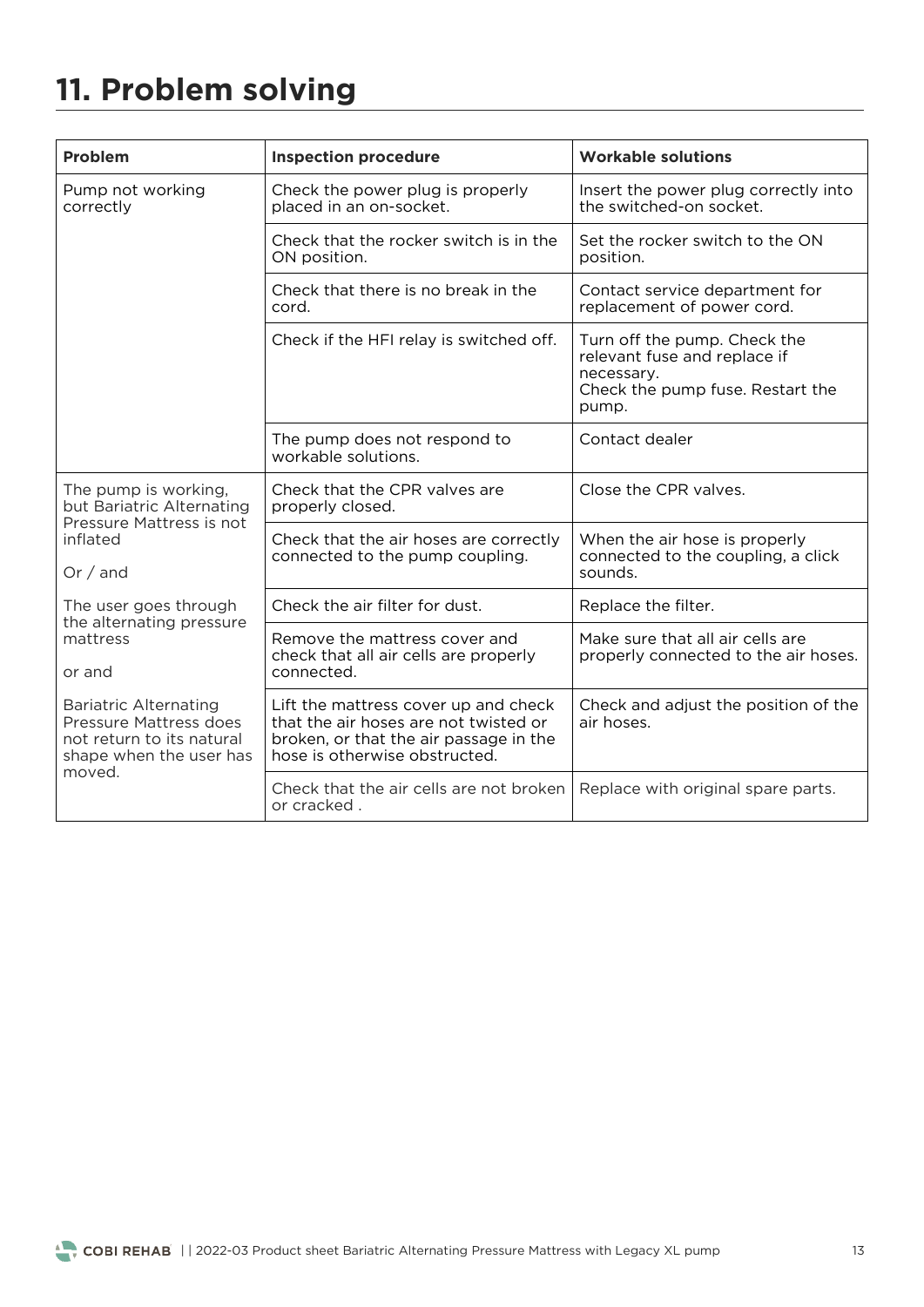# **11. Problem solving**

| Problem                                                                                                        | <b>Inspection procedure</b>                                                                                                                              | <b>Workable solutions</b>                                                                                               |
|----------------------------------------------------------------------------------------------------------------|----------------------------------------------------------------------------------------------------------------------------------------------------------|-------------------------------------------------------------------------------------------------------------------------|
| Pump not working<br>correctly                                                                                  | Check the power plug is properly<br>placed in an on-socket.                                                                                              | Insert the power plug correctly into<br>the switched-on socket.                                                         |
|                                                                                                                | Check that the rocker switch is in the<br>ON position.                                                                                                   | Set the rocker switch to the ON<br>position.                                                                            |
|                                                                                                                | Check that there is no break in the<br>cord.                                                                                                             | Contact service department for<br>replacement of power cord.                                                            |
|                                                                                                                | Check if the HFI relay is switched off.                                                                                                                  | Turn off the pump. Check the<br>relevant fuse and replace if<br>necessary.<br>Check the pump fuse. Restart the<br>pump. |
|                                                                                                                | The pump does not respond to<br>workable solutions.                                                                                                      | Contact dealer                                                                                                          |
| The pump is working,<br>but Bariatric Alternating<br>Pressure Mattress is not                                  | Check that the CPR valves are<br>properly closed.                                                                                                        | Close the CPR valves.                                                                                                   |
| inflated<br>Or / and                                                                                           | Check that the air hoses are correctly<br>connected to the pump coupling.                                                                                | When the air hose is properly<br>connected to the coupling, a click<br>sounds.                                          |
| The user goes through                                                                                          | Check the air filter for dust.                                                                                                                           | Replace the filter.                                                                                                     |
| the alternating pressure<br>mattress<br>or and                                                                 | Remove the mattress cover and<br>check that all air cells are properly<br>connected.                                                                     | Make sure that all air cells are<br>properly connected to the air hoses.                                                |
| <b>Bariatric Alternating</b><br>Pressure Mattress does<br>not return to its natural<br>shape when the user has | Lift the mattress cover up and check<br>that the air hoses are not twisted or<br>broken, or that the air passage in the<br>hose is otherwise obstructed. | Check and adjust the position of the<br>air hoses.                                                                      |
| moved.                                                                                                         | Check that the air cells are not broken<br>or cracked.                                                                                                   | Replace with original spare parts.                                                                                      |